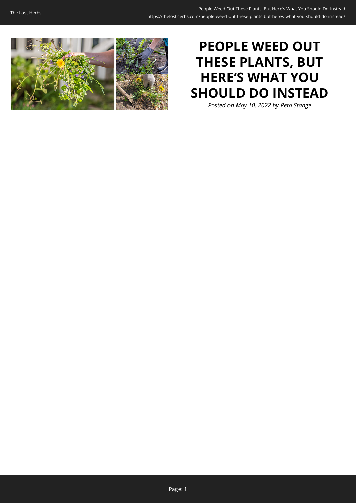

# **PEOPLE WEED OUT THESE PLANTS, BUT HERE'S WHAT YOU SHOULD DO INSTEAD**

*Posted on May 10, 2022 by Peta Stange*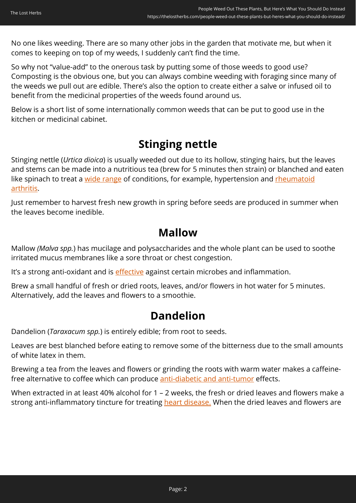No one likes weeding. There are so many other jobs in the garden that motivate me, but when it comes to keeping on top of my weeds, I suddenly can't find the time.

So why not "value-add" to the onerous task by putting some of those weeds to good use? Composting is the obvious one, but you can always combine weeding with foraging since many of the weeds we pull out are edible. There's also the option to create either a salve or infused oil to benefit from the medicinal properties of the weeds found around us.

Below is a short list of some internationally common weeds that can be put to good use in the kitchen or medicinal cabinet.

## **Stinging nettle**

Stinging nettle (*Urtica dioica*) is usually weeded out due to its hollow, stinging hairs, but the leaves and stems can be made into a nutritious tea (brew for 5 minutes then strain) or blanched and eaten like spinach to treat a [wide range](https://www.hindawi.com/journals/ecam/2022/4024331/) of conditions, for example, hypertension and [rheumatoid](https://www.sciencedirect.com/science/article/abs/pii/S0079610719300987) [arthritis.](https://www.sciencedirect.com/science/article/abs/pii/S0079610719300987)

Just remember to harvest fresh new growth in spring before seeds are produced in summer when the leaves become inedible.

## **Mallow**

Mallow *(Malva spp.*) has mucilage and polysaccharides and the whole plant can be used to soothe irritated mucus membranes like a sore throat or chest congestion.

It's a strong anti-oxidant and is *effective* against certain microbes and inflammation.

Brew a small handful of fresh or dried roots, leaves, and/or flowers in hot water for 5 minutes. Alternatively, add the leaves and flowers to a smoothie.

## **Dandelion**

Dandelion (*Taraxacum spp.*) is entirely edible; from root to seeds.

Leaves are best blanched before eating to remove some of the bitterness due to the small amounts of white latex in them.

Brewing a tea from the leaves and flowers or grinding the roots with warm water makes a caffeinefree alternative to coffee which can produce [anti-diabetic and anti-tumor](https://wjarr.com/sites/default/files/WJARR-2021-0570.pdf) effects.

When extracted in at least 40% alcohol for 1 – 2 weeks, the fresh or dried leaves and flowers make a strong anti-inflammatory tincture for treating [heart disease.](https://www.sciencedirect.com/science/article/abs/pii/S0963996918301790) When the dried leaves and flowers are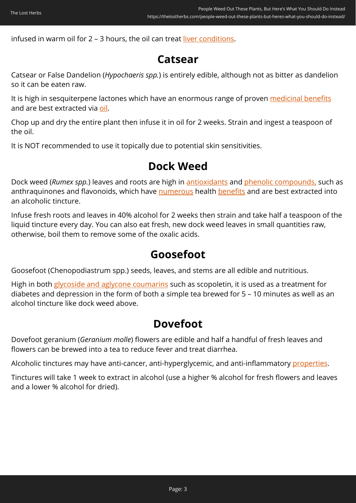infused in warm oil for 2 – 3 hours, the oil can treat [liver conditions.](https://wjarr.com/sites/default/files/WJARR-2021-0570.pdf)

## **Catsear**

Catsear or False Dandelion (*Hypochaeris spp.*) is entirely edible, although not as bitter as dandelion so it can be eaten raw.

It is high in sesquiterpene lactones which have an enormous range of proven [medicinal benefits](https://www.sciencedirect.com/science/article/pii/B9780128094501000065) and are best extracted via [oil.](https://www.ncbi.nlm.nih.gov/pmc/articles/PMC8309091/)

Chop up and dry the entire plant then infuse it in oil for 2 weeks. Strain and ingest a teaspoon of the oil.

It is NOT recommended to use it topically due to potential skin sensitivities.

## **Dock Weed**

Dock weed (*Rumex spp.*) leaves and roots are high in [antioxidants](https://www.sciencedirect.com/science/article/abs/pii/S0278691515300624) and [phenolic compounds,](https://www.sciencedirect.com/science/article/abs/pii/S0378874115301264?via%3Dihub) such as anthraquinones and flavonoids, which have [numerous](https://www.academia.edu/75377193/_content_Antioxidant_Hepatoprotective_and_Antidepression_Effects_of_Extracts_and_Identification_of_a_Novel_Bioactive_Compound_i_content_Rumex_tingitanus_) health [benefits](https://www.academia.edu/75990619/Antibacterial_Activity_of_Root_Extracts_of_Rumex_Nervosus_Growing_in_Yemen) and are best extracted into an alcoholic tincture.

Infuse fresh roots and leaves in 40% alcohol for 2 weeks then strain and take half a teaspoon of the liquid tincture every day. You can also eat fresh, new dock weed leaves in small quantities raw, otherwise, boil them to remove some of the oxalic acids.

## **Goosefoot**

Goosefoot (Chenopodiastrum spp.) seeds, leaves, and stems are all edible and nutritious.

High in both [glycoside and aglycone coumarins](https://www.researchgate.net/publication/320802041_Phytochemical_investigation_of_Chenopodium_Murale_family_Chenopodiaceae_cultivated_in_Iraq_isolation_and_identification_of_scopoletin_and_gallic_acid) such as scopoletin, it is used as a treatment for diabetes and depression in the form of both a simple tea brewed for 5 – 10 minutes as well as an alcohol tincture like dock weed above.

## **Dovefoot**

Dovefoot geranium (*Geranium molle*) flowers are edible and half a handful of fresh leaves and flowers can be brewed into a tea to reduce fever and treat diarrhea.

Alcoholic tinctures may have anti-cancer, anti-hyperglycemic, and anti-inflammatory [properties.](https://bibliotecadigital.ipb.pt/bitstream/10198/22350/4/95.pdf)

Tinctures will take 1 week to extract in alcohol (use a higher % alcohol for fresh flowers and leaves and a lower % alcohol for dried).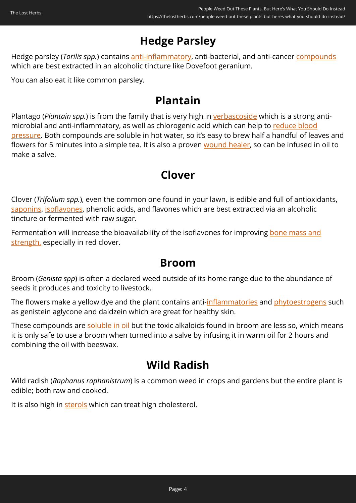# **Hedge Parsley**

Hedge parsley (*Torilis spp.*) contains [anti-inflammatory](https://bmccomplementmedtherapies.biomedcentral.com/articles/10.1186/1472-6882-12-221), anti-bacterial, and anti-cancer [compounds](https://www.spandidos-publications.com/ijo/49/3/1088) which are best extracted in an alcoholic tincture like Dovefoot geranium.

You can also eat it like common parsley.

## **Plantain**

Plantago (*Plantain spp.*) is from the family that is very high in [verbascoside](https://www.sciencedirect.com/science/article/abs/pii/S2212429218308861) which is a strong antimicrobial and anti-inflammatory, as well as chlorogenic acid which can help to [reduce blood](https://www.nature.com/articles/hr2011195) [pressure](https://www.nature.com/articles/hr2011195). Both compounds are soluble in hot water, so it's easy to brew half a handful of leaves and flowers for 5 minutes into a simple tea. It is also a proven [wound healer](https://www.sciencedirect.com/science/article/abs/pii/S0378874117321852), so can be infused in oil to make a salve.

## **Clover**

Clover (*Trifolium spp.*), even the common one found in your lawn, is edible and full of antioxidants, [saponins](https://pubmed.ncbi.nlm.nih.gov/22771317/), [isoflavones](https://pubmed.ncbi.nlm.nih.gov/25026336/), phenolic acids, and flavones which are best extracted via an alcoholic tincture or fermented with raw sugar.

Fermentation will increase the bioavailability of the isoflavones for improving [bone mass and](https://www.hindawi.com/journals/ecam/2012/921684/) [strength,](https://www.hindawi.com/journals/ecam/2012/921684/) especially in red clover.

### **Broom**

Broom (*Genista spp*) is often a declared weed outside of its home range due to the abundance of seeds it produces and toxicity to livestock.

The flowers make a yellow dye and the plant contains anti-[inflammatories](https://www.mdpi.com/2305-6320/7/6/31) and [phytoestrogens](https://www.ncbi.nlm.nih.gov/pmc/articles/PMC7078862/) such as genistein aglycone and daidzein which are great for healthy skin.

These compounds are [soluble in oil](https://www.jstage.jst.go.jp/article/cpb/58/5/58_5_639/_pdf) but the toxic alkaloids found in broom are less so, which means it is only safe to use a broom when turned into a salve by infusing it in warm oil for 2 hours and combining the oil with beeswax.

## **Wild Radish**

Wild radish (*Raphanus raphanistrum*) is a common weed in crops and gardens but the entire plant is edible; both raw and cooked.

It is also high in [sterols](https://www.sciencedirect.com/science/article/abs/pii/S0278691515300624) which can treat high cholesterol.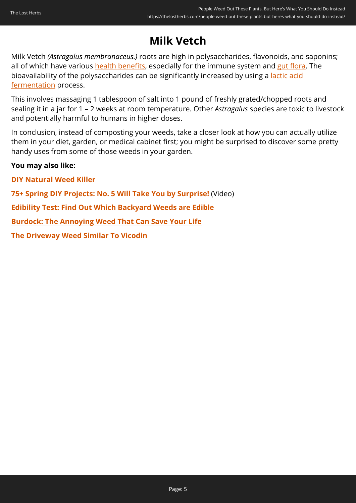# **Milk Vetch**

Milk Vetch *(Astragalus membranaceus.)* roots are high in polysaccharides, flavonoids, and saponins; all of which have various [health benefits,](https://www.sciencedirect.com/science/article/pii/S0753332222000427) especially for the immune system and [gut flora](https://www.sciencedirect.com/science/article/pii/S0753332222000427). The bioavailability of the polysaccharides can be significantly increased by using a *[lactic acid](https://amb-express.springeropen.com/articles/10.1186/s13568-018-0682-4)* [fermentation](https://amb-express.springeropen.com/articles/10.1186/s13568-018-0682-4) process.

This involves massaging 1 tablespoon of salt into 1 pound of freshly grated/chopped roots and sealing it in a jar for 1 – 2 weeks at room temperature. Other *Astragalus* species are toxic to livestock and potentially harmful to humans in higher doses.

In conclusion, instead of composting your weeds, take a closer look at how you can actually utilize them in your diet, garden, or medical cabinet first; you might be surprised to discover some pretty handy uses from some of those weeds in your garden.

#### **You may also like:**

**[DIY Natural Weed Killer](https://thelostherbs.com/diy-natural-weed-killer/)**

**[75+ Spring DIY Projects: No. 5 Will Take You by Surprise!](https://hop.clickbank.net/?affiliate=easycellar&vendor=sbackyard&tid=C02PeopleWeedSSB)** (Video)

**[Edibility Test: Find Out Which Backyard Weeds are Edible](https://thelostherbs.com/edibility-test-find-out-which-backyard-weeds-are-edible/)**

**[Burdock: The Annoying Weed That Can Save Your Life](https://thelostherbs.com/burdock-the-annoying-weed-that-can-save-your-life/)**

**[The Driveway Weed Similar To Vicodin](https://thelostherbs.com/the-driveway-weed-similar-to-vicodin/)**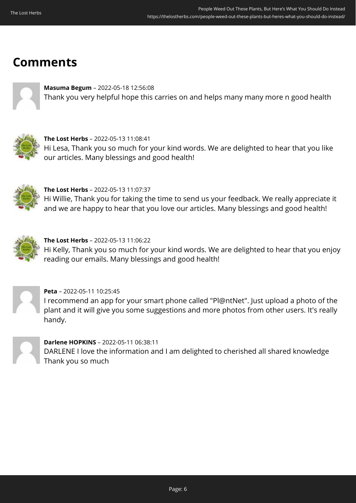# **Comments**



**Masuma Begum** – 2022-05-18 12:56:08 Thank you very helpful hope this carries on and helps many many more n good health



**The Lost Herbs** – 2022-05-13 11:08:41 Hi Lesa, Thank you so much for your kind words. We are delighted to hear that you like our articles. Many blessings and good health!



**The Lost Herbs** – 2022-05-13 11:07:37 Hi Willie, Thank you for taking the time to send us your feedback. We really appreciate it and we are happy to hear that you love our articles. Many blessings and good health!



**The Lost Herbs** – 2022-05-13 11:06:22 Hi Kelly, Thank you so much for your kind words. We are delighted to hear that you enjoy reading our emails. Many blessings and good health!



**Peta** – 2022-05-11 10:25:45 I recommend an app for your smart phone called "Pl@ntNet". Just upload a photo of the plant and it will give you some suggestions and more photos from other users. It's really handy.



**Darlene HOPKINS** – 2022-05-11 06:38:11 DARLENE I love the information and I am delighted to cherished all shared knowledge Thank you so much